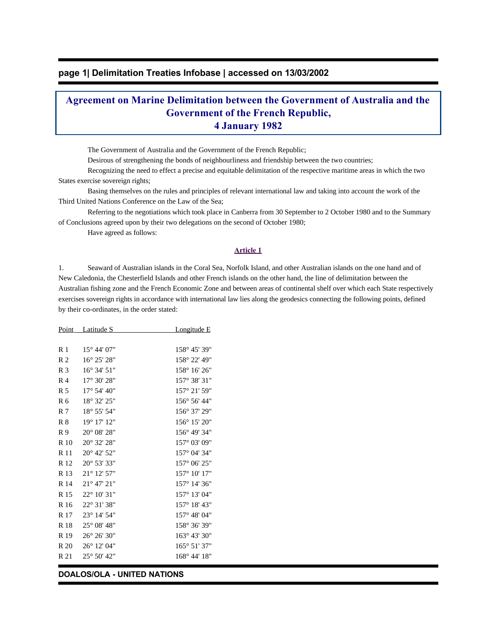## **page 1| Delimitation Treaties Infobase | accessed on 13/03/2002**

# **Agreement on Marine Delimitation between the Government of Australia and the Government of the French Republic, 4 January 1982**

The Government of Australia and the Government of the French Republic;

Desirous of strengthening the bonds of neighbourliness and friendship between the two countries;

 Recognizing the need to effect a precise and equitable delimitation of the respective maritime areas in which the two States exercise sovereign rights;

 Basing themselves on the rules and principles of relevant international law and taking into account the work of the Third United Nations Conference on the Law of the Sea;

 Referring to the negotiations which took place in Canberra from 30 September to 2 October 1980 and to the Summary of Conclusions agreed upon by their two delegations on the second of October 1980;

Have agreed as follows:

#### **Article 1**

1. Seaward of Australian islands in the Coral Sea, Norfolk Island, and other Australian islands on the one hand and of New Caledonia, the Chesterfield Islands and other French islands on the other hand, the line of delimitation between the Australian fishing zone and the French Economic Zone and between areas of continental shelf over which each State respectively exercises sovereign rights in accordance with international law lies along the geodesics connecting the following points, defined by their co-ordinates, in the order stated:

|                | <u>Point Latitude S</u>       | <u>Longitude E</u> |
|----------------|-------------------------------|--------------------|
|                |                               |                    |
| R <sub>1</sub> | $15^{\circ}$ 44' 07"          | 158° 45' 39"       |
| R <sub>2</sub> | 16° 25' 28"                   | 158° 22' 49"       |
| R <sub>3</sub> | 16° 34' 51"                   | 158° 16' 26"       |
| R <sub>4</sub> | 17° 30' 28"                   | 157° 38' 31"       |
| R <sub>5</sub> | 17° 54' 40"                   | 157° 21' 59"       |
| R <sub>6</sub> | 18° 32' 25"                   | 156° 56' 44"       |
| R 7            | 18° 55' 54"                   | 156° 37' 29"       |
| $R_8$          | 19° 17' 12"                   | 156° 15' 20"       |
| R9             | 20° 08' 28"                   | 156° 49' 34"       |
| R 10           | 20° 32' 28"                   | 157° 03' 09"       |
| R 11           | 20° 42' 52"                   | 157° 04' 34"       |
| R 12           | 20° 53' 33"                   | 157° 06' 25"       |
| R 13           | 21° 12' 57"                   | 157° 10' 17"       |
| R 14           | $21^{\circ}$ 47' $21^{\circ}$ | 157° 14' 36"       |
| R 15           | 22° 10' 31"                   | 157° 13' 04"       |
| R 16           | 22° 31' 38"                   | 157° 18' 43"       |
| R 17           | 23° 14' 54"                   | 157° 48' 04"       |
| R 18           | $25^{\circ}$ 08' 48"          | 158° 36' 39"       |
| R 19           | 26° 26' 30"                   | 163° 43' 30"       |
| R 20           | 26° 12' 04"                   | 165° 51' 37"       |
| R 21           | $25^{\circ} 50' 42"$          | 168° 44' 18"       |
|                |                               |                    |

#### **DOALOS/OLA - UNITED NATIONS**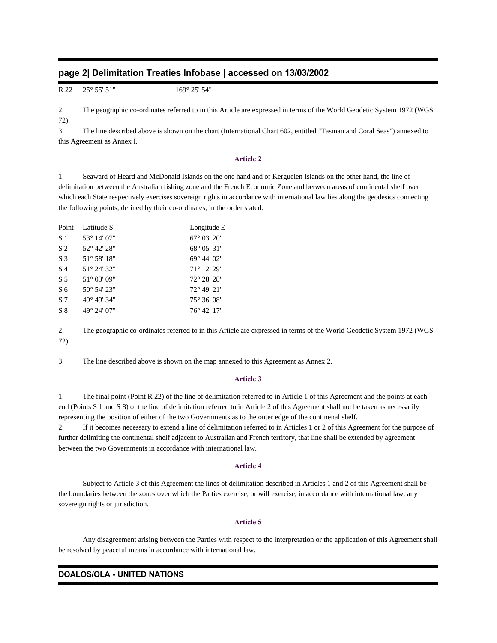## **page 2| Delimitation Treaties Infobase | accessed on 13/03/2002**

R 22 25° 55' 51" 169° 25' 54"

2. The geographic co-ordinates referred to in this Article are expressed in terms of the World Geodetic System 1972 (WGS 72).

3. The line described above is shown on the chart (International Chart 602, entitled "Tasman and Coral Seas") annexed to this Agreement as Annex I.

#### **Article 2**

1. Seaward of Heard and McDonald Islands on the one hand and of Kerguelen Islands on the other hand, the line of delimitation between the Australian fishing zone and the French Economic Zone and between areas of continental shelf over which each State respectively exercises sovereign rights in accordance with international law lies along the geodesics connecting the following points, defined by their co-ordinates, in the order stated:

|                | Point Latitude S     | <b>Longitude E</b>            |
|----------------|----------------------|-------------------------------|
| S 1            | $53^{\circ}$ 14' 07" | $67^{\circ}$ 03' 20"          |
| S <sub>2</sub> | $52^{\circ}$ 42' 28" | 68° 05′ 31″                   |
| S 3            | $51^{\circ}$ 58' 18" | $69^{\circ}$ 44' $02^{\circ}$ |
| S 4            | $51^{\circ}$ 24' 32" | $71^{\circ}$ 12' 29"          |
| S 5            | $51^{\circ}$ 03' 09" | $72^{\circ} 28' 28''$         |
| S 6            | $50^{\circ}$ 54' 23" | $72^{\circ}$ 49' 21"          |
| S7             | 49° 49' 34"          | $75^{\circ}$ 36' 08"          |
| S 8            | 49° 24' 07"          | $76^{\circ}$ 42' 17"          |

2. The geographic co-ordinates referred to in this Article are expressed in terms of the World Geodetic System 1972 (WGS 72).

3. The line described above is shown on the map annexed to this Agreement as Annex 2.

#### **Article 3**

1. The final point (Point R 22) of the line of delimitation referred to in Article 1 of this Agreement and the points at each end (Points S 1 and S 8) of the line of delimitation referred to in Article 2 of this Agreement shall not be taken as necessarily representing the position of either of the two Governments as to the outer edge of the continenal shelf.

2. If it becomes necessary to extend a line of delimitation referred to in Articles 1 or 2 of this Agreement for the purpose of further delimiting the continental shelf adjacent to Australian and French territory, that line shall be extended by agreement between the two Governments in accordance with international law.

### **Article 4**

 Subject to Article 3 of this Agreement the lines of delimitation described in Articles 1 and 2 of this Agreement shall be the boundaries between the zones over which the Parties exercise, or will exercise, in accordance with international law, any sovereign rights or jurisdiction.

#### **Article 5**

 Any disagreement arising between the Parties with respect to the interpretation or the application of this Agreement shall be resolved by peaceful means in accordance with international law.

#### **DOALOS/OLA - UNITED NATIONS**